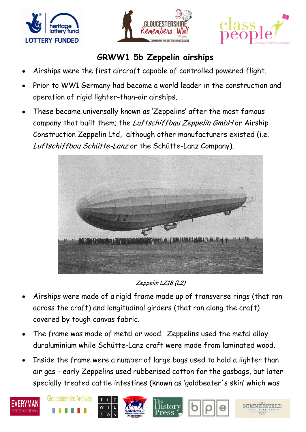





## **GRWW1 5b Zeppelin airships**

- Airships were the first aircraft capable of controlled powered flight.
- Prior to WW1 Germany had become a world leader in the construction and operation of rigid lighter-than-air airships.
- These became universally known as 'Zeppelins' after the most famous company that built them; the Luftschiffbau Zeppelin GmbH or Airship Construction Zeppelin Ltd, although other manufacturers existed (i.e. Luftschiffbau Schütte-Lanz or the Schütte-Lanz Company).



Zeppelin LZ18 (L2)

- Airships were made of a rigid frame made up of transverse rings (that ran across the craft) and longitudinal girders (that ran along the craft) covered by tough canvas fabric.
- The frame was made of metal or wood. Zeppelins used the metal alloy duraluminium while Schütte-Lanz craft were made from laminated wood.
- Inside the frame were a number of large bags used to hold a lighter than air gas - early Zeppelins used rubberised cotton for the gasbags, but later specially treated cattle intestines (known as 'goldbeater's skin' which was









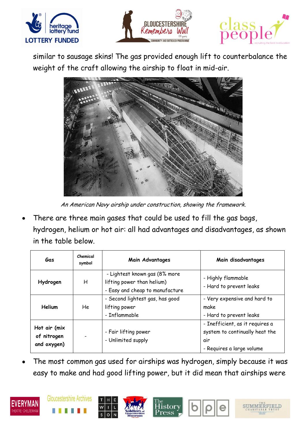





similar to sausage skins! The gas provided enough lift to counterbalance the weight of the craft allowing the airship to float in mid-air.



An American Navy airship under construction, showing the framework.

There are three main gases that could be used to fill the gas bags, hydrogen, helium or hot air: all had advantages and disadvantages, as shown in the table below.

| Gas                                        | Chemical<br>symbol | Main Advantages                                                                                | Main disadvantages                                                                                    |
|--------------------------------------------|--------------------|------------------------------------------------------------------------------------------------|-------------------------------------------------------------------------------------------------------|
| Hydrogen                                   | Η                  | - Lightest known gas (8% more<br>lifting power than helium)<br>- Easy and cheap to manufacture | - Highly flammable<br>- Hard to prevent leaks                                                         |
| Helium                                     | He                 | - Second lightest gas, has good<br>lifting power<br>- Inflammable                              | - Very expensive and hard to<br>make<br>- Hard to prevent leaks                                       |
| Hot air (mix<br>of nitrogen<br>and oxygen) |                    | - Fair lifting power<br>- Unlimited supply                                                     | - Inefficient, as it requires a<br>system to continually heat the<br>air<br>- Requires a large volume |

The most common gas used for airships was hydrogen, simply because it was easy to make and had good lifting power, but it did mean that airships were

istory



**Gloucestershire Archives**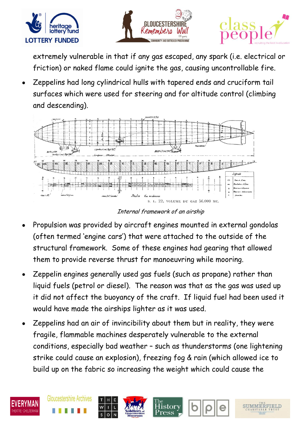





extremely vulnerable in that if any gas escaped, any spark (i.e. electrical or friction) or naked flame could ignite the gas, causing uncontrollable fire.

Zeppelins had long cylindrical hulls with tapered ends and cruciform tail surfaces which were used for steering and for altitude control (climbing and descending).



Internal framework of an airship

- Propulsion was provided by aircraft engines mounted in external gondolas (often termed 'engine cars') that were attached to the outside of the structural framework. Some of these engines had gearing that allowed them to provide reverse thrust for manoeuvring while mooring.
- Zeppelin engines generally used gas fuels (such as propane) rather than liquid fuels (petrol or diesel). The reason was that as the gas was used up it did not affect the buoyancy of the craft. If liquid fuel had been used it would have made the airships lighter as it was used.
- Zeppelins had an air of invincibility about them but in reality, they were fragile, flammable machines desperately vulnerable to the external conditions, especially bad weather – such as thunderstorms (one lightening strike could cause an explosion), freezing fog & rain (which allowed ice to build up on the fabric so increasing the weight which could cause the









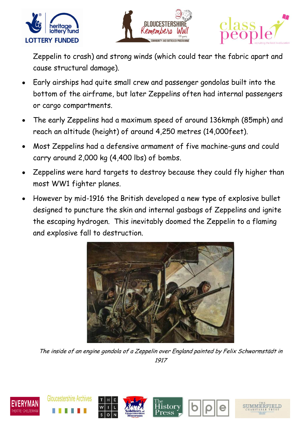





Zeppelin to crash) and strong winds (which could tear the fabric apart and cause structural damage).

- Early airships had quite small crew and passenger gondolas built into the bottom of the airframe, but later Zeppelins often had internal passengers or cargo compartments.
- The early Zeppelins had a maximum speed of around 136kmph (85mph) and reach an altitude (height) of around 4,250 metres (14,000feet).
- Most Zeppelins had a defensive armament of five machine-guns and could carry around 2,000 kg (4,400 lbs) of bombs.
- Zeppelins were hard targets to destroy because they could fly higher than most WW1 fighter planes.
- However by mid-1916 the British developed a new type of explosive bullet designed to puncture the skin and internal gasbags of Zeppelins and ignite the escaping hydrogen. This inevitably doomed the Zeppelin to a flaming and explosive fall to destruction.



The inside of an engine gondola of a Zeppelin over England painted by Felix Schwormstädt in 1917











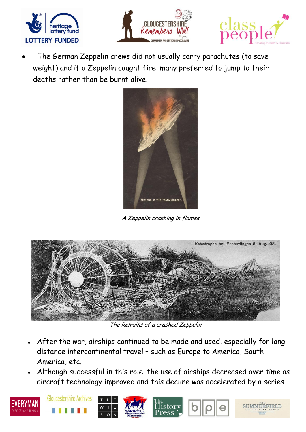





 The German Zeppelin crews did not usually carry parachutes (to save weight) and if a Zeppelin caught fire, many preferred to jump to their deaths rather than be burnt alive.



A Zeppelin crashing in flames



The Remains of a crashed Zeppelin

- After the war, airships continued to be made and used, especially for longdistance intercontinental travel – such as Europe to America, South America, etc.
- Although successful in this role, the use of airships decreased over time as  $\bullet$ aircraft technology improved and this decline was accelerated by a series